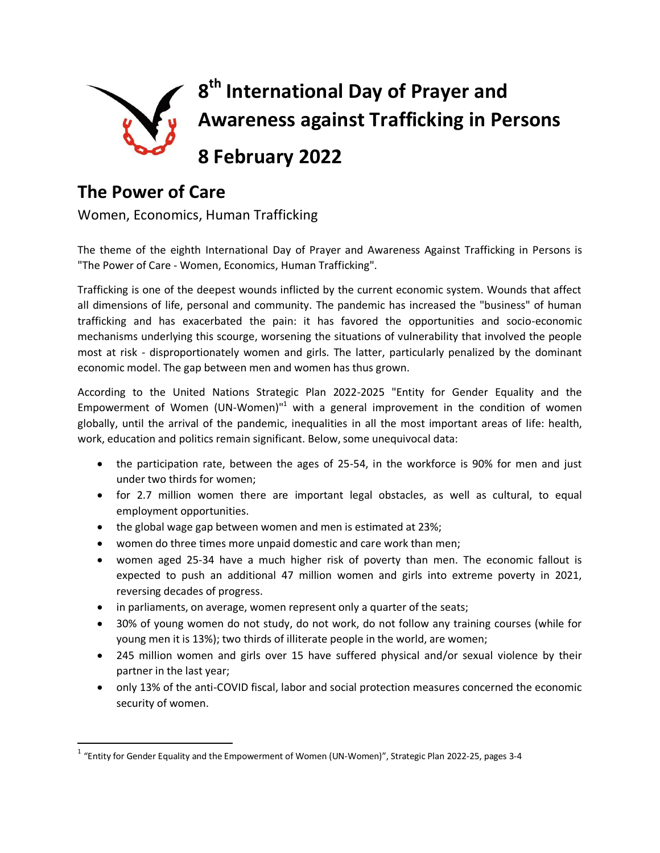

## **The Power of Care**

 $\overline{a}$ 

Women, Economics, Human Trafficking

The theme of the eighth International Day of Prayer and Awareness Against Trafficking in Persons is "The Power of Care - Women, Economics, Human Trafficking".

Trafficking is one of the deepest wounds inflicted by the current economic system. Wounds that affect all dimensions of life, personal and community. The pandemic has increased the "business" of human trafficking and has exacerbated the pain: it has favored the opportunities and socio-economic mechanisms underlying this scourge, worsening the situations of vulnerability that involved the people most at risk - disproportionately women and girls. The latter, particularly penalized by the dominant economic model. The gap between men and women has thus grown.

According to the United Nations Strategic Plan 2022-2025 "Entity for Gender Equality and the Empowerment of Women (UN-Women) $n<sup>1</sup>$  with a general improvement in the condition of women globally, until the arrival of the pandemic, inequalities in all the most important areas of life: health, work, education and politics remain significant. Below, some unequivocal data:

- the participation rate, between the ages of 25-54, in the workforce is 90% for men and just under two thirds for women;
- for 2.7 million women there are important legal obstacles, as well as cultural, to equal employment opportunities.
- the global wage gap between women and men is estimated at 23%;
- women do three times more unpaid domestic and care work than men;
- women aged 25-34 have a much higher risk of poverty than men. The economic fallout is expected to push an additional 47 million women and girls into extreme poverty in 2021, reversing decades of progress.
- in parliaments, on average, women represent only a quarter of the seats;
- 30% of young women do not study, do not work, do not follow any training courses (while for young men it is 13%); two thirds of illiterate people in the world, are women;
- 245 million women and girls over 15 have suffered physical and/or sexual violence by their partner in the last year;
- only 13% of the anti-COVID fiscal, labor and social protection measures concerned the economic security of women.

 $^{\text{1}}$  "Entity for Gender Equality and the Empowerment of Women (UN-Women)", Strategic Plan 2022-25, pages 3-4